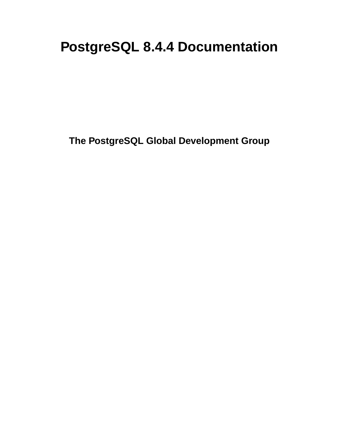# **PostgreSQL 8.4.4 Documentation**

**The PostgreSQL Global Development Group**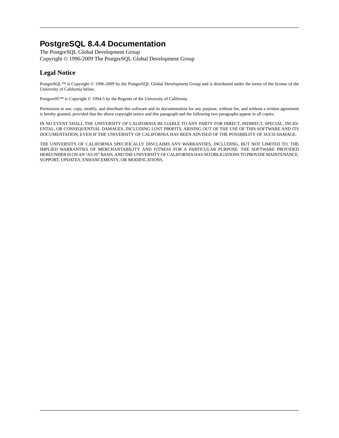### **PostgreSQL 8.4.4 Documentation**

The PostgreSQL Global Development Group Copyright © 1996-2009 The PostgreSQL Global Development Group

### **Legal Notice**

PostgreSQL™ is Copyright © 1996-2009 by the PostgreSQL Global Development Group and is distributed under the terms of the license of the University of California below.

Postgres95™ is Copyright © 1994-5 by the Regents of the University of California.

Permission to use, copy, modify, and distribute this software and its documentation for any purpose, without fee, and without a written agreement is hereby granted, provided that the above copyright notice and this paragraph and the following two paragraphs appear in all copies.

IN NO EVENT SHALL THE UNIVERSITY OF CALIFORNIA BE LIABLE TO ANY PARTY FOR DIRECT, INDIRECT, SPECIAL, INCID-ENTAL, OR CONSEQUENTIAL DAMAGES, INCLUDING LOST PROFITS, ARISING OUT OF THE USE OF THIS SOFTWARE AND ITS DOCUMENTATION, EVEN IF THE UNIVERSITY OF CALIFORNIA HAS BEEN ADVISED OF THE POSSIBILITY OF SUCH DAMAGE.

THE UNIVERSITY OF CALIFORNIA SPECIFICALLY DISCLAIMS ANY WARRANTIES, INCLUDING, BUT NOT LIMITED TO, THE IMPLIED WARRANTIES OF MERCHANTABILITY AND FITNESS FOR A PARTICULAR PURPOSE. THE SOFTWARE PROVIDED HEREUNDER IS ON AN "AS-IS" BASIS, AND THE UNIVERSITY OF CALIFORNIA HAS NO OBLIGATIONS TO PROVIDE MAINTENANCE, SUPPORT, UPDATES, ENHANCEMENTS, OR MODIFICATIONS.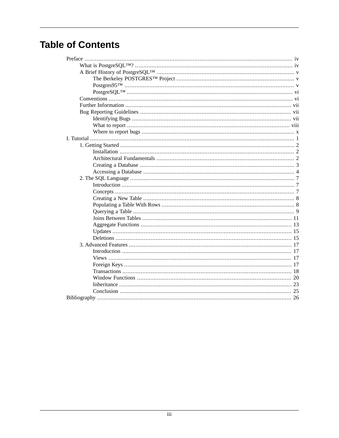## **Table of Contents**

| 20 |
|----|
| 23 |
|    |
|    |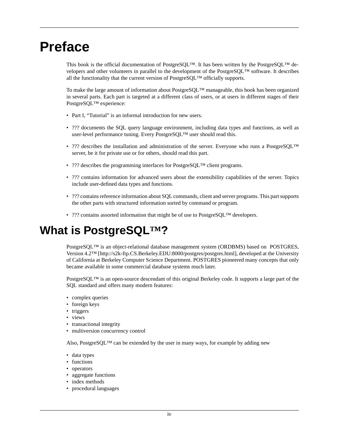# <span id="page-3-0"></span>**Preface**

This book is the official documentation of PostgreSQL™. It has been written by the PostgreSQL™ developers and other volunteers in parallel to the development of the PostgreSQL™ software. It describes all the functionality that the current version of PostgreSQL™ officially supports.

To make the large amount of information about PostgreSQL™ manageable, this book has been organized in several parts. Each part is targeted at a different class of users, or at users in different stages of their PostgreSQL™ experience:

- [Part I, "Tutorial"](#page-10-0) is an informal introduction for new users.
- ??? documents the SQL query language environment, including data types and functions, as well as user-level performance tuning. Every PostgreSQL™ user should read this.
- ??? describes the installation and administration of the server. Everyone who runs a PostgreSQL™ server, be it for private use or for others, should read this part.
- ??? describes the programming interfaces for PostgreSQL<sup>TM</sup> client programs.
- ??? contains information for advanced users about the extensibility capabilities of the server. Topics include user-defined data types and functions.
- <span id="page-3-1"></span>• ??? contains reference information about SQL commands, client and server programs. This part supports the other parts with structured information sorted by command or program.
- ??? contains assorted information that might be of use to PostgreSQL™ developers.

## **What is PostgreSQL™?**

PostgreSQL™ is an object-relational database management system (ORDBMS) based on [POSTGRES,](http://s2k-ftp.CS.Berkeley.EDU:8000/postgres/postgres.html) [Version 4.2™ \[http://s2k-ftp.CS.Berkeley.EDU:8000/postgres/postgres.html\]](http://s2k-ftp.CS.Berkeley.EDU:8000/postgres/postgres.html), developed at the University of California at Berkeley Computer Science Department. POSTGRES pioneered many concepts that only became available in some commercial database systems much later.

PostgreSQL™ is an open-source descendant of this original Berkeley code. It supports a large part of the SQL standard and offers many modern features:

- complex queries
- foreign keys
- triggers
- views
- transactional integrity
- multiversion concurrency control

Also, PostgreSQL<sup>™</sup> can be extended by the user in many ways, for example by adding new

- data types
- functions
- operators
- aggregate functions
- index methods
- procedural languages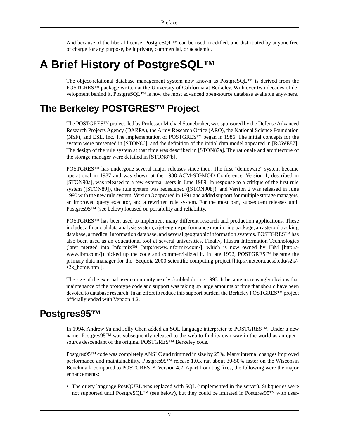<span id="page-4-0"></span>And because of the liberal license, PostgreSQL™ can be used, modified, and distributed by anyone free of charge for any purpose, be it private, commercial, or academic.

## **A Brief History of PostgreSQL™**

<span id="page-4-1"></span>The object-relational database management system now known as PostgreSQL™ is derived from the POSTGRES™ package written at the University of California at Berkeley. With over two decades of development behind it, PostgreSQL™ is now the most advanced open-source database available anywhere.

## **The Berkeley POSTGRES™ Project**

The POSTGRES™ project, led by Professor Michael Stonebraker, was sponsored by the Defense Advanced Research Projects Agency (DARPA), the Army Research Office (ARO), the National Science Foundation (NSF), and ESL, Inc. The implementation of POSTGRES™ began in 1986. The initial concepts for the system were presented in [\[STON86\]](#page-36-0), and the definition of the initial data model appeared in [\[ROWE87\].](#page-36-1) The design of the rule system at that time was described in [\[STON87a\].](#page-36-2) The rationale and architecture of the storage manager were detailed in [\[STON87b\].](#page-36-3)

POSTGRES™ has undergone several major releases since then. The first "demoware" system became operational in 1987 and was shown at the 1988 ACM-SIGMOD Conference. Version 1, described in [\[STON90a\]](#page-36-4), was released to a few external users in June 1989. In response to a critique of the first rule system [\(\[STON89\]\)](#page-36-5), the rule system was redesigned ([\[STON90b\]\)](#page-36-6), and Version 2 was released in June 1990 with the new rule system. Version 3 appeared in 1991 and added support for multiple storage managers, an improved query executor, and a rewritten rule system. For the most part, subsequent releases until Postgres95™ (see below) focused on portability and reliability.

POSTGRES™ has been used to implement many different research and production applications. These include: a financial data analysis system, a jet engine performance monitoring package, an asteroid tracking database, a medical information database, and several geographic information systems. POSTGRES™ has also been used as an educational tool at several universities. Finally, Illustra Information Technologies (later merged into [Informix™](http://www.informix.com/) [\[http://www.informix.com/\]](http://www.informix.com/), which is now owned by [IBM](http://www.ibm.com/) [[http://](http://www.ibm.com/) [www.ibm.com/\]](http://www.ibm.com/)) picked up the code and commercialized it. In late 1992, POSTGRES™ became the primary data manager for the [Sequoia 2000 scientific computing project](http://meteora.ucsd.edu/s2k/s2k_home.html) [[http://meteora.ucsd.edu/s2k/](http://meteora.ucsd.edu/s2k/s2k_home.html) [s2k\\_home.html\]](http://meteora.ucsd.edu/s2k/s2k_home.html).

<span id="page-4-2"></span>The size of the external user community nearly doubled during 1993. It became increasingly obvious that maintenance of the prototype code and support was taking up large amounts of time that should have been devoted to database research. In an effort to reduce this support burden, the Berkeley POSTGRES™ project officially ended with Version 4.2.

## **Postgres95™**

In 1994, Andrew Yu and Jolly Chen added an SQL language interpreter to POSTGRES™. Under a new name, Postgres95™ was subsequently released to the web to find its own way in the world as an opensource descendant of the original POSTGRES™ Berkeley code.

Postgres95™ code was completely ANSI C and trimmed in size by 25%. Many internal changes improved performance and maintainability. Postgres95™ release 1.0.x ran about 30-50% faster on the Wisconsin Benchmark compared to POSTGRES™, Version 4.2. Apart from bug fixes, the following were the major enhancements:

• The query language PostQUEL was replaced with SQL (implemented in the server). Subqueries were not supported until PostgreSQL™ (see below), but they could be imitated in Postgres95™ with user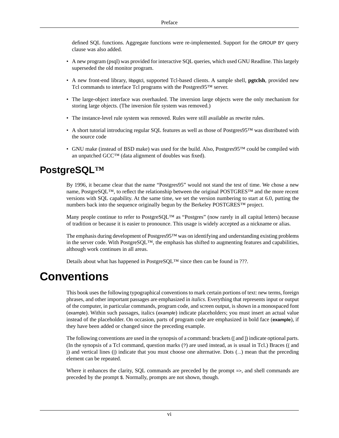defined SQL functions. Aggregate functions were re-implemented. Support for the GROUP BY query clause was also added.

- A new program (psql) was provided for interactive SQL queries, which used GNU Readline. This largely superseded the old monitor program.
- A new front-end library, libpgtcl, supported Tcl-based clients. A sample shell, **pgtclsh**, provided new Tcl commands to interface Tcl programs with the Postgres95™ server.
- The large-object interface was overhauled. The inversion large objects were the only mechanism for storing large objects. (The inversion file system was removed.)
- The instance-level rule system was removed. Rules were still available as rewrite rules.
- A short tutorial introducing regular SQL features as well as those of Postgres95™ was distributed with the source code
- <span id="page-5-0"></span>• GNU make (instead of BSD make) was used for the build. Also, Postgres95™ could be compiled with an unpatched GCC™ (data alignment of doubles was fixed).

## **PostgreSQL™**

By 1996, it became clear that the name "Postgres95" would not stand the test of time. We chose a new name, PostgreSQL™, to reflect the relationship between the original POSTGRES™ and the more recent versions with SQL capability. At the same time, we set the version numbering to start at 6.0, putting the numbers back into the sequence originally begun by the Berkeley POSTGRES<sup>™</sup> project.

Many people continue to refer to PostgreSQL<sup>™</sup> as "Postgres" (now rarely in all capital letters) because of tradition or because it is easier to pronounce. This usage is widely accepted as a nickname or alias.

<span id="page-5-1"></span>The emphasis during development of Postgres95™ was on identifying and understanding existing problems in the server code. With PostgreSQL™, the emphasis has shifted to augmenting features and capabilities, although work continues in all areas.

Details about what has happened in PostgreSQL™ since then can be found in ???.

## **Conventions**

This book uses the following typographical conventions to mark certain portions of text: new terms, foreign phrases, and other important passages are emphasized in *italics*. Everything that represents input or output of the computer, in particular commands, program code, and screen output, is shown in a monospaced font (example). Within such passages, italics (*example*) indicate placeholders; you must insert an actual value instead of the placeholder. On occasion, parts of program code are emphasized in bold face (**example**), if they have been added or changed since the preceding example.

The following conventions are used in the synopsis of a command: brackets ([ and ]) indicate optional parts. (In the synopsis of a Tcl command, question marks (?) are used instead, as is usual in Tcl.) Braces ({ and }) and vertical lines (|) indicate that you must choose one alternative. Dots (...) mean that the preceding element can be repeated.

Where it enhances the clarity, SQL commands are preceded by the prompt =>, and shell commands are preceded by the prompt \$. Normally, prompts are not shown, though.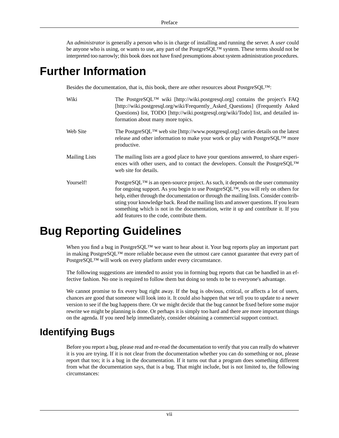<span id="page-6-0"></span>An *administrator* is generally a person who is in charge of installing and running the server. A *user* could be anyone who is using, or wants to use, any part of the PostgreSQL™ system. These terms should not be interpreted too narrowly; this book does not have fixed presumptions about system administration procedures.

## **Further Information**

Besides the documentation, that is, this book, there are other resources about PostgreSQL<sup>TM</sup>:

| Wiki                 | The PostgreSQL <sup>TM</sup> wiki [http://wiki.postgresql.org] contains the project's FAQ<br>[http://wiki.postgresql.org/wiki/Frequently_Asked_Questions] (Frequently Asked<br>Questions) list, TODO [http://wiki.postgresql.org/wiki/Todo] list, and detailed in-<br>formation about many more topics.                                                                                                                                                                                                                |
|----------------------|------------------------------------------------------------------------------------------------------------------------------------------------------------------------------------------------------------------------------------------------------------------------------------------------------------------------------------------------------------------------------------------------------------------------------------------------------------------------------------------------------------------------|
| Web Site             | The PostgreSQL <sup>TM</sup> web site [http://www.postgresql.org] carries details on the latest<br>release and other information to make your work or play with PostgreSQL™ more<br>productive.                                                                                                                                                                                                                                                                                                                        |
| <b>Mailing Lists</b> | The mailing lists are a good place to have your questions answered, to share experi-<br>ences with other users, and to contact the developers. Consult the PostgreSQL <sup>TM</sup><br>web site for details.                                                                                                                                                                                                                                                                                                           |
| Yourself!            | PostgreSQL <sup>TM</sup> is an open-source project. As such, it depends on the user community<br>for ongoing support. As you begin to use PostgreSQL <sup>TM</sup> , you will rely on others for<br>help, either through the documentation or through the mailing lists. Consider contrib-<br>uting your knowledge back. Read the mailing lists and answer questions. If you learn<br>something which is not in the documentation, write it up and contribute it. If you<br>add features to the code, contribute them. |

## <span id="page-6-1"></span>**Bug Reporting Guidelines**

When you find a bug in PostgreSQL<sup>™</sup> we want to hear about it. Your bug reports play an important part in making PostgreSQL™ more reliable because even the utmost care cannot guarantee that every part of PostgreSQL™ will work on every platform under every circumstance.

The following suggestions are intended to assist you in forming bug reports that can be handled in an effective fashion. No one is required to follow them but doing so tends to be to everyone's advantage.

<span id="page-6-2"></span>We cannot promise to fix every bug right away. If the bug is obvious, critical, or affects a lot of users, chances are good that someone will look into it. It could also happen that we tell you to update to a newer version to see if the bug happens there. Or we might decide that the bug cannot be fixed before some major rewrite we might be planning is done. Or perhaps it is simply too hard and there are more important things on the agenda. If you need help immediately, consider obtaining a commercial support contract.

## **Identifying Bugs**

Before you report a bug, please read and re-read the documentation to verify that you can really do whatever it is you are trying. If it is not clear from the documentation whether you can do something or not, please report that too; it is a bug in the documentation. If it turns out that a program does something different from what the documentation says, that is a bug. That might include, but is not limited to, the following circumstances: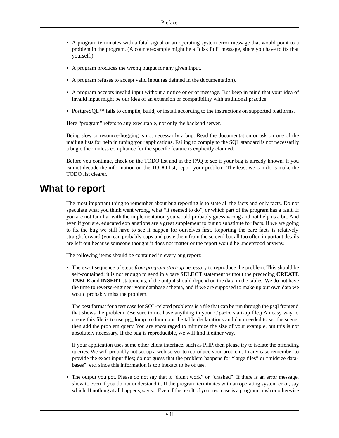- A program terminates with a fatal signal or an operating system error message that would point to a problem in the program. (A counterexample might be a "disk full" message, since you have to fix that yourself.)
- A program produces the wrong output for any given input.
- A program refuses to accept valid input (as defined in the documentation).
- A program accepts invalid input without a notice or error message. But keep in mind that your idea of invalid input might be our idea of an extension or compatibility with traditional practice.
- PostgreSOL<sup>™</sup> fails to compile, build, or install according to the instructions on supported platforms.

Here "program" refers to any executable, not only the backend server.

Being slow or resource-hogging is not necessarily a bug. Read the documentation or ask on one of the mailing lists for help in tuning your applications. Failing to comply to the SQL standard is not necessarily a bug either, unless compliance for the specific feature is explicitly claimed.

<span id="page-7-0"></span>Before you continue, check on the TODO list and in the FAQ to see if your bug is already known. If you cannot decode the information on the TODO list, report your problem. The least we can do is make the TODO list clearer.

## **What to report**

The most important thing to remember about bug reporting is to state all the facts and only facts. Do not speculate what you think went wrong, what "it seemed to do", or which part of the program has a fault. If you are not familiar with the implementation you would probably guess wrong and not help us a bit. And even if you are, educated explanations are a great supplement to but no substitute for facts. If we are going to fix the bug we still have to see it happen for ourselves first. Reporting the bare facts is relatively straightforward (you can probably copy and paste them from the screen) but all too often important details are left out because someone thought it does not matter or the report would be understood anyway.

The following items should be contained in every bug report:

• The exact sequence of steps *from program start-up* necessary to reproduce the problem. This should be self-contained; it is not enough to send in a bare **SELECT** statement without the preceding **CREATE TABLE** and **INSERT** statements, if the output should depend on the data in the tables. We do not have the time to reverse-engineer your database schema, and if we are supposed to make up our own data we would probably miss the problem.

The best format for a test case for SQL-related problems is a file that can be run through the psql frontend that shows the problem. (Be sure to not have anything in your ~/.psqlrc start-up file.) An easy way to create this file is to use pg\_dump to dump out the table declarations and data needed to set the scene, then add the problem query. You are encouraged to minimize the size of your example, but this is not absolutely necessary. If the bug is reproducible, we will find it either way.

If your application uses some other client interface, such as PHP, then please try to isolate the offending queries. We will probably not set up a web server to reproduce your problem. In any case remember to provide the exact input files; do not guess that the problem happens for "large files" or "midsize databases", etc. since this information is too inexact to be of use.

• The output you got. Please do not say that it "didn't work" or "crashed". If there is an error message, show it, even if you do not understand it. If the program terminates with an operating system error, say which. If nothing at all happens, say so. Even if the result of your test case is a program crash or otherwise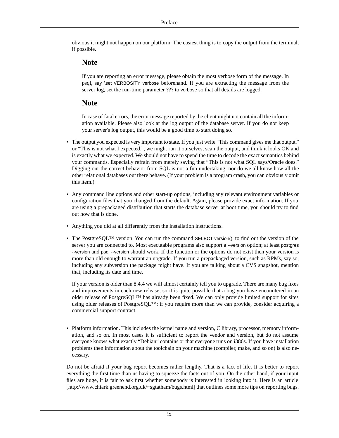obvious it might not happen on our platform. The easiest thing is to copy the output from the terminal, if possible.

### **Note**

If you are reporting an error message, please obtain the most verbose form of the message. In psql, say \set VERBOSITY verbose beforehand. If you are extracting the message from the server log, set the run-time parameter ??? to verbose so that all details are logged.

### **Note**

In case of fatal errors, the error message reported by the client might not contain all the information available. Please also look at the log output of the database server. If you do not keep your server's log output, this would be a good time to start doing so.

- The output you expected is very important to state. If you just write "This command gives me that output." or "This is not what I expected.", we might run it ourselves, scan the output, and think it looks OK and is exactly what we expected. We should not have to spend the time to decode the exact semantics behind your commands. Especially refrain from merely saying that "This is not what SQL says/Oracle does." Digging out the correct behavior from SQL is not a fun undertaking, nor do we all know how all the other relational databases out there behave. (If your problem is a program crash, you can obviously omit this item.)
- Any command line options and other start-up options, including any relevant environment variables or configuration files that you changed from the default. Again, please provide exact information. If you are using a prepackaged distribution that starts the database server at boot time, you should try to find out how that is done.
- Anything you did at all differently from the installation instructions.
- The PostgreSQL™ version. You can run the command SELECT version(); to find out the version of the server you are connected to. Most executable programs also support a --version option; at least postgres --version and psql --version should work. If the function or the options do not exist then your version is more than old enough to warrant an upgrade. If you run a prepackaged version, such as RPMs, say so, including any subversion the package might have. If you are talking about a CVS snapshot, mention that, including its date and time.

If your version is older than 8.4.4 we will almost certainly tell you to upgrade. There are many bug fixes and improvements in each new release, so it is quite possible that a bug you have encountered in an older release of PostgreSQL™ has already been fixed. We can only provide limited support for sites using older releases of PostgreSQL™; if you require more than we can provide, consider acquiring a commercial support contract.

• Platform information. This includes the kernel name and version, C library, processor, memory information, and so on. In most cases it is sufficient to report the vendor and version, but do not assume everyone knows what exactly "Debian" contains or that everyone runs on i386s. If you have installation problems then information about the toolchain on your machine (compiler, make, and so on) is also necessary.

Do not be afraid if your bug report becomes rather lengthy. That is a fact of life. It is better to report everything the first time than us having to squeeze the facts out of you. On the other hand, if your input files are huge, it is fair to ask first whether somebody is interested in looking into it. Here is an [article](http://www.chiark.greenend.org.uk/~sgtatham/bugs.html) [\[http://www.chiark.greenend.org.uk/~sgtatham/bugs.html\]](http://www.chiark.greenend.org.uk/~sgtatham/bugs.html) that outlines some more tips on reporting bugs.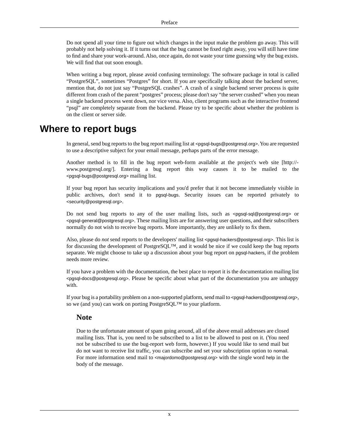Do not spend all your time to figure out which changes in the input make the problem go away. This will probably not help solving it. If it turns out that the bug cannot be fixed right away, you will still have time to find and share your work-around. Also, once again, do not waste your time guessing why the bug exists. We will find that out soon enough.

When writing a bug report, please avoid confusing terminology. The software package in total is called "PostgreSQL", sometimes "Postgres" for short. If you are specifically talking about the backend server, mention that, do not just say "PostgreSQL crashes". A crash of a single backend server process is quite different from crash of the parent "postgres" process; please don't say "the server crashed" when you mean a single backend process went down, nor vice versa. Also, client programs such as the interactive frontend "psql" are completely separate from the backend. Please try to be specific about whether the problem is on the client or server side.

## <span id="page-9-0"></span>**Where to report bugs**

In general, send bug reports to the bug report mailing list at <pgsql-bugs@postgresql.org>. You are requested to use a descriptive subject for your email message, perhaps parts of the error message.

Another method is to fill in the bug report web-form available at the project's [web site \[http://](http://www.postgresql.org/) [www.postgresql.org/](http://www.postgresql.org/)]. Entering a bug report this way causes it to be mailed to the <pgsql-bugs@postgresql.org> mailing list.

If your bug report has security implications and you'd prefer that it not become immediately visible in public archives, don't send it to pgsql-bugs. Security issues can be reported privately to <security@postgresql.org>.

Do not send bug reports to any of the user mailing lists, such as <pgsql-sql@postgresql.org> or <pgsql-general@postgresql.org>. These mailing lists are for answering user questions, and their subscribers normally do not wish to receive bug reports. More importantly, they are unlikely to fix them.

Also, please do *not* send reports to the developers' mailing list <pgsql-hackers@postgresql.org>. This list is for discussing the development of PostgreSQL™, and it would be nice if we could keep the bug reports separate. We might choose to take up a discussion about your bug report on pgsql-hackers, if the problem needs more review.

If you have a problem with the documentation, the best place to report it is the documentation mailing list <pgsql-docs@postgresql.org>. Please be specific about what part of the documentation you are unhappy with.

If your bug is a portability problem on a non-supported platform, send mail to <pgsql-hackers@postgresql.org>, so we (and you) can work on porting PostgreSQL™ to your platform.

### **Note**

Due to the unfortunate amount of spam going around, all of the above email addresses are closed mailing lists. That is, you need to be subscribed to a list to be allowed to post on it. (You need not be subscribed to use the bug-report web form, however.) If you would like to send mail but do not want to receive list traffic, you can subscribe and set your subscription option to nomail. For more information send mail to <majordomo@postgresql.org> with the single word help in the body of the message.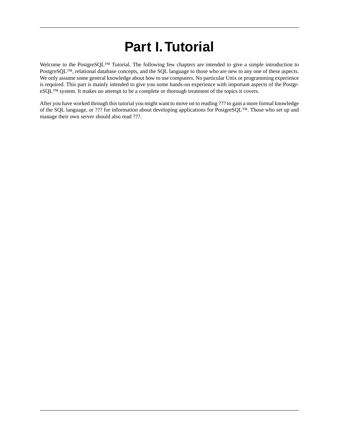# **Part I.Tutorial**

<span id="page-10-0"></span>Welcome to the PostgreSQL™ Tutorial. The following few chapters are intended to give a simple introduction to PostgreSQL™, relational database concepts, and the SQL language to those who are new to any one of these aspects. We only assume some general knowledge about how to use computers. No particular Unix or programming experience is required. This part is mainly intended to give you some hands-on experience with important aspects of the PostgreSQL™ system. It makes no attempt to be a complete or thorough treatment of the topics it covers.

After you have worked through this tutorial you might want to move on to reading ??? to gain a more formal knowledge of the SQL language, or ??? for information about developing applications for PostgreSQL™. Those who set up and manage their own server should also read ???.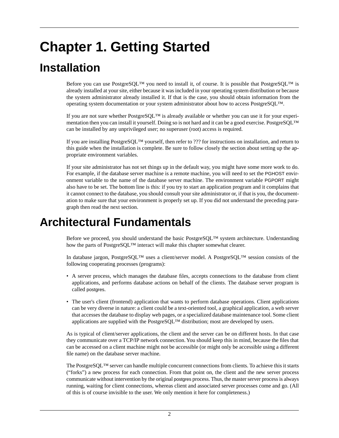# <span id="page-11-0"></span>**Chapter 1. Getting Started**

# <span id="page-11-1"></span>**Installation**

Before you can use PostgreSQL™ you need to install it, of course. It is possible that PostgreSQL™ is already installed at your site, either because it was included in your operating system distribution or because the system administrator already installed it. If that is the case, you should obtain information from the operating system documentation or your system administrator about how to access PostgreSQL™.

If you are not sure whether PostgreSQL™ is already available or whether you can use it for your experimentation then you can install it yourself. Doing so is not hard and it can be a good exercise. PostgreSQL™ can be installed by any unprivileged user; no superuser (root) access is required.

If you are installing PostgreSQL™ yourself, then refer to ??? for instructions on installation, and return to this guide when the installation is complete. Be sure to follow closely the section about setting up the appropriate environment variables.

<span id="page-11-2"></span>If your site administrator has not set things up in the default way, you might have some more work to do. For example, if the database server machine is a remote machine, you will need to set the PGHOST environment variable to the name of the database server machine. The environment variable PGPORT might also have to be set. The bottom line is this: if you try to start an application program and it complains that it cannot connect to the database, you should consult your site administrator or, if that is you, the documentation to make sure that your environment is properly set up. If you did not understand the preceding paragraph then read the next section.

## **Architectural Fundamentals**

Before we proceed, you should understand the basic PostgreSQL™ system architecture. Understanding how the parts of PostgreSQL™ interact will make this chapter somewhat clearer.

In database jargon, PostgreSQL™ uses a client/server model. A PostgreSQL™ session consists of the following cooperating processes (programs):

- A server process, which manages the database files, accepts connections to the database from client applications, and performs database actions on behalf of the clients. The database server program is called postgres.
- The user's client (frontend) application that wants to perform database operations. Client applications can be very diverse in nature: a client could be a text-oriented tool, a graphical application, a web server that accesses the database to display web pages, or a specialized database maintenance tool. Some client applications are supplied with the PostgreSQL™ distribution; most are developed by users.

As is typical of client/server applications, the client and the server can be on different hosts. In that case they communicate over a TCP/IP network connection. You should keep this in mind, because the files that can be accessed on a client machine might not be accessible (or might only be accessible using a different file name) on the database server machine.

The PostgreSQL™ server can handle multiple concurrent connections from clients. To achieve this it starts ("forks") a new process for each connection. From that point on, the client and the new server process communicate without intervention by the original postgres process. Thus, the master server process is always running, waiting for client connections, whereas client and associated server processes come and go. (All of this is of course invisible to the user. We only mention it here for completeness.)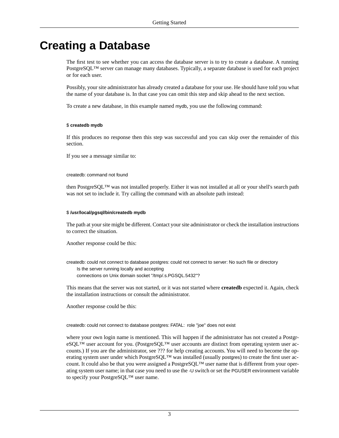## <span id="page-12-0"></span>**Creating a Database**

The first test to see whether you can access the database server is to try to create a database. A running PostgreSQL™ server can manage many databases. Typically, a separate database is used for each project or for each user.

Possibly, your site administrator has already created a database for your use. He should have told you what the name of your database is. In that case you can omit this step and skip ahead to the next section.

To create a new database, in this example named mydb, you use the following command:

### \$ **createdb mydb**

If this produces no response then this step was successful and you can skip over the remainder of this section.

If you see a message similar to:

createdb: command not found

then PostgreSQL™ was not installed properly. Either it was not installed at all or your shell's search path was not set to include it. Try calling the command with an absolute path instead:

### \$ **/usr/local/pgsql/bin/createdb mydb**

The path at your site might be different. Contact your site administrator or check the installation instructions to correct the situation.

Another response could be this:

createdb: could not connect to database postgres: could not connect to server: No such file or directory Is the server running locally and accepting connections on Unix domain socket "/tmp/.s.PGSQL.5432"?

This means that the server was not started, or it was not started where **createdb** expected it. Again, check the installation instructions or consult the administrator.

Another response could be this:

createdb: could not connect to database postgres: FATAL: role "joe" does not exist

where your own login name is mentioned. This will happen if the administrator has not created a PostgreSQL™ user account for you. (PostgreSQL™ user accounts are distinct from operating system user accounts.) If you are the administrator, see ??? for help creating accounts. You will need to become the operating system user under which PostgreSQL<sup>™</sup> was installed (usually postgres) to create the first user account. It could also be that you were assigned a PostgreSQL™ user name that is different from your operating system user name; in that case you need to use the -U switch or set the PGUSER environment variable to specify your PostgreSQL™ user name.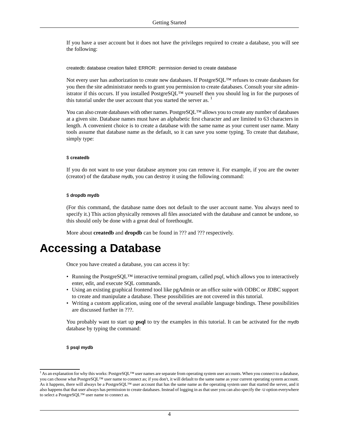If you have a user account but it does not have the privileges required to create a database, you will see the following:

createdb: database creation failed: ERROR: permission denied to create database

Not every user has authorization to create new databases. If PostgreSQL™ refuses to create databases for you then the site administrator needs to grant you permission to create databases. Consult your site administrator if this occurs. If you installed PostgreSQL™ yourself then you should log in for the purposes of this tutorial under the user account that you started the server as.

You can also create databases with other names. PostgreSQL™ allows you to create any number of databases at a given site. Database names must have an alphabetic first character and are limited to 63 characters in length. A convenient choice is to create a database with the same name as your current user name. Many tools assume that database name as the default, so it can save you some typing. To create that database, simply type:

#### \$ **createdb**

If you do not want to use your database anymore you can remove it. For example, if you are the owner (creator) of the database mydb, you can destroy it using the following command:

#### \$ **dropdb mydb**

<span id="page-13-0"></span>(For this command, the database name does not default to the user account name. You always need to specify it.) This action physically removes all files associated with the database and cannot be undone, so this should only be done with a great deal of forethought.

More about **createdb** and **dropdb** can be found in ??? and ??? respectively.

## **Accessing a Database**

Once you have created a database, you can access it by:

- Running the PostgreSQL™ interactive terminal program, called *psql*, which allows you to interactively enter, edit, and execute SQL commands.
- Using an existing graphical frontend tool like pgAdmin or an office suite with ODBC or JDBC support to create and manipulate a database. These possibilities are not covered in this tutorial.
- Writing a custom application, using one of the several available language bindings. These possibilities are discussed further in ???.

You probably want to start up **psql** to try the examples in this tutorial. It can be activated for the mydb database by typing the command:

#### \$ **psql mydb**

 $1$  As an explanation for why this works: PostgreSQL<sup>TM</sup> user names are separate from operating system user accounts. When you connect to a database, you can choose what PostgreSQL™ user name to connect as; if you don't, it will default to the same name as your current operating system account. As it happens, there will always be a PostgreSQL™ user account that has the same name as the operating system user that started the server, and it also happens that that user always has permission to create databases. Instead of logging in as that user you can also specify the -U option everywhere to select a PostgreSQL™ user name to connect as.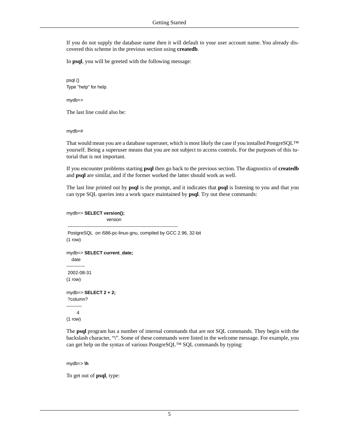If you do not supply the database name then it will default to your user account name. You already discovered this scheme in the previous section using **createdb**.

In **psql**, you will be greeted with the following message:

psql () Type "help" for help.

mydb=>

The last line could also be:

mydb=#

That would mean you are a database superuser, which is most likely the case if you installed PostgreSQL™ yourself. Being a superuser means that you are not subject to access controls. For the purposes of this tutorial that is not important.

If you encounter problems starting **psql** then go back to the previous section. The diagnostics of **createdb** and **psql** are similar, and if the former worked the latter should work as well.

The last line printed out by **psql** is the prompt, and it indicates that **psql** is listening to you and that you can type SQL queries into a work space maintained by **psql**. Try out these commands:

#### mydb=> **SELECT version();**

 version ----------------------------------------------------------------------- PostgreSQL on i586-pc-linux-gnu, compiled by GCC 2.96, 32-bit  $(1$  row $)$ mydb=> **SELECT current\_date;** date ------------ 2002-08-31  $(1$  row $)$ mydb=> **SELECT 2 + 2;** ?column? ---------- 4 (1 row)

The **psql** program has a number of internal commands that are not SQL commands. They begin with the backslash character, "\". Some of these commands were listed in the welcome message. For example, you can get help on the syntax of various PostgreSQL™ SQL commands by typing:

```
mydb=> \h
```
To get out of **psql**, type: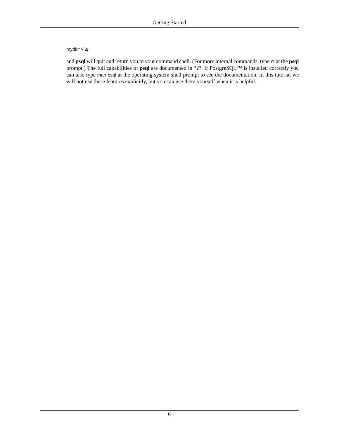#### mydb=> **\q**

and **psql** will quit and return you to your command shell. (For more internal commands, type \? at the **psql** prompt.) The full capabilities of **psql** are documented in ???. If PostgreSQL™ is installed correctly you can also type man psql at the operating system shell prompt to see the documentation. In this tutorial we will not use these features explicitly, but you can use them yourself when it is helpful.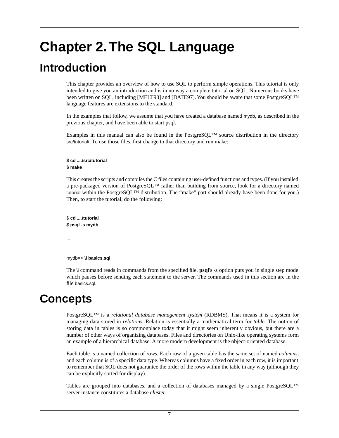# <span id="page-16-0"></span>**Chapter 2.The SQL Language**

## <span id="page-16-1"></span>**Introduction**

This chapter provides an overview of how to use SQL to perform simple operations. This tutorial is only intended to give you an introduction and is in no way a complete tutorial on SQL. Numerous books have been written on SQL, including [\[MELT93\]](#page-35-1) and [\[DATE97\].](#page-35-2) You should be aware that some PostgreSQL™ language features are extensions to the standard.

In the examples that follow, we assume that you have created a database named mydb, as described in the previous chapter, and have been able to start psql.

Examples in this manual can also be found in the PostgreSQL™ source distribution in the directory src/tutorial/. To use those files, first change to that directory and run make:

#### \$ **cd** *....***/src/tutorial** \$ **make**

This creates the scripts and compiles the C files containing user-defined functions and types. (If you installed a pre-packaged version of PostgreSQL™ rather than building from source, look for a directory named tutorial within the PostgreSQL™ distribution. The "make" part should already have been done for you.) Then, to start the tutorial, do the following:

\$ **cd** *....***/tutorial** \$ **psql -s mydb**

...

```
mydb=> \i basics.sql
```
The \i command reads in commands from the specified file. **psql**'s -s option puts you in single step mode which pauses before sending each statement to the server. The commands used in this section are in the file basics.sql.

## **Concepts**

PostgreSQL™ is a *relational database management system* (RDBMS). That means it is a system for managing data stored in *relations*. Relation is essentially a mathematical term for *table*. The notion of storing data in tables is so commonplace today that it might seem inherently obvious, but there are a number of other ways of organizing databases. Files and directories on Unix-like operating systems form an example of a hierarchical database. A more modern development is the object-oriented database.

Each table is a named collection of *rows*. Each row of a given table has the same set of named *columns*, and each column is of a specific data type. Whereas columns have a fixed order in each row, it is important to remember that SQL does not guarantee the order of the rows within the table in any way (although they can be explicitly sorted for display).

Tables are grouped into databases, and a collection of databases managed by a single PostgreSQL™ server instance constitutes a database *cluster*.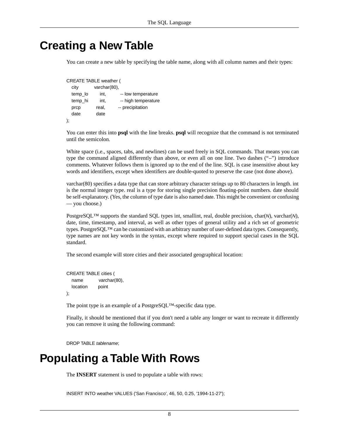## <span id="page-17-0"></span>**Creating a New Table**

You can create a new table by specifying the table name, along with all column names and their types:

```
CREATE TABLE weather (
   city varchar(80),
```

| uly     | valuiditou), |                     |
|---------|--------------|---------------------|
| temp_lo | int.         | -- low temperature  |
| temp_hi | int.         | -- high temperature |
| prcp    | real,        | -- precipitation    |
| date    | date         |                     |
|         |              |                     |

You can enter this into **psql** with the line breaks. **psql** will recognize that the command is not terminated until the semicolon.

White space (i.e., spaces, tabs, and newlines) can be used freely in SQL commands. That means you can type the command aligned differently than above, or even all on one line. Two dashes ("--") introduce comments. Whatever follows them is ignored up to the end of the line. SQL is case insensitive about key words and identifiers, except when identifiers are double-quoted to preserve the case (not done above).

varchar(80) specifies a data type that can store arbitrary character strings up to 80 characters in length. int is the normal integer type. real is a type for storing single precision floating-point numbers. date should be self-explanatory. (Yes, the column of type date is also named *date*. This might be convenient or confusing — you choose.)

PostgreSQL™ supports the standard SQL types int, smallint, real, double precision, char(*N*), varchar(*N*), date, time, timestamp, and interval, as well as other types of general utility and a rich set of geometric types. PostgreSQL<sup>™</sup> can be customized with an arbitrary number of user-defined data types. Consequently, type names are not key words in the syntax, except where required to support special cases in the SQL standard.

The second example will store cities and their associated geographical location:

```
CREATE TABLE cities (
   name varchar(80),
   location point
);
```
The point type is an example of a PostgreSQL™-specific data type.

<span id="page-17-1"></span>Finally, it should be mentioned that if you don't need a table any longer or want to recreate it differently you can remove it using the following command:

DROP TABLE *tablename*;

## **Populating a Table With Rows**

The **INSERT** statement is used to populate a table with rows:

INSERT INTO weather VALUES ('San Francisco', 46, 50, 0.25, '1994-11-27');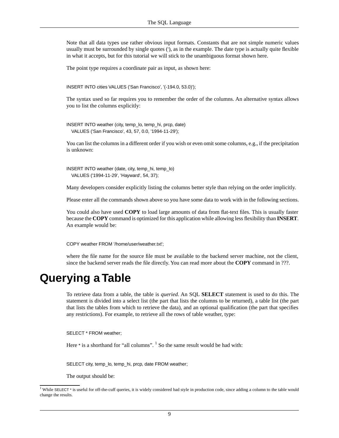Note that all data types use rather obvious input formats. Constants that are not simple numeric values usually must be surrounded by single quotes ('), as in the example. The date type is actually quite flexible in what it accepts, but for this tutorial we will stick to the unambiguous format shown here.

The point type requires a coordinate pair as input, as shown here:

INSERT INTO cities VALUES ('San Francisco', '(-194.0, 53.0)');

The syntax used so far requires you to remember the order of the columns. An alternative syntax allows you to list the columns explicitly:

INSERT INTO weather (city, temp\_lo, temp\_hi, prcp, date) VALUES ('San Francisco', 43, 57, 0.0, '1994-11-29');

You can list the columns in a different order if you wish or even omit some columns, e.g., if the precipitation is unknown:

INSERT INTO weather (date, city, temp\_hi, temp\_lo) VALUES ('1994-11-29', 'Hayward', 54, 37);

Many developers consider explicitly listing the columns better style than relying on the order implicitly.

Please enter all the commands shown above so you have some data to work with in the following sections.

You could also have used **COPY** to load large amounts of data from flat-text files. This is usually faster because the **COPY** command is optimized for this application while allowing less flexibility than **INSERT**. An example would be:

<span id="page-18-0"></span>COPY weather FROM '/home/user/weather.txt';

where the file name for the source file must be available to the backend server machine, not the client, since the backend server reads the file directly. You can read more about the **COPY** command in ???.

## **Querying a Table**

To retrieve data from a table, the table is *queried*. An SQL **SELECT** statement is used to do this. The statement is divided into a select list (the part that lists the columns to be returned), a table list (the part that lists the tables from which to retrieve the data), and an optional qualification (the part that specifies any restrictions). For example, to retrieve all the rows of table weather, type:

SELECT \* FROM weather;

Here \* is a shorthand for "all columns". <sup>1</sup> So the same result would be had with:

SELECT city, temp\_lo, temp\_hi, prcp, date FROM weather;

The output should be:

<sup>&</sup>lt;sup>1</sup> While SELECT  $*$  is useful for off-the-cuff queries, it is widely considered bad style in production code, since adding a column to the table would change the results.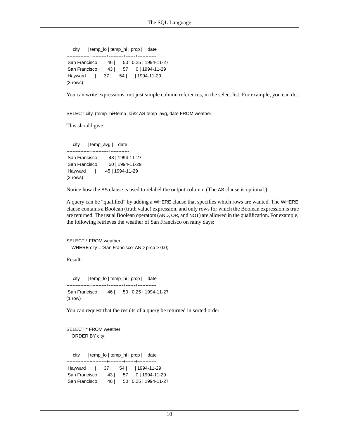city | temp\_lo | temp\_hi | prcp | date ---------------+---------+---------+------+------------ San Francisco | 46 | 50 | 0.25 | 1994-11-27 San Francisco | 43 | 57 | 0 | 1994-11-29 Hayward | 37 | 54 | | 1994-11-29 (3 rows)

You can write expressions, not just simple column references, in the select list. For example, you can do:

SELECT city, (temp\_hi+temp\_lo)/2 AS temp\_avg, date FROM weather;

This should give:

 city | temp\_avg | date ---------------+----------+------------ San Francisco | 48 | 1994-11-27 San Francisco | 50 | 1994-11-29 Hayward | 45 | 1994-11-29 (3 rows)

Notice how the AS clause is used to relabel the output column. (The AS clause is optional.)

A query can be "qualified" by adding a WHERE clause that specifies which rows are wanted. The WHERE clause contains a Boolean (truth value) expression, and only rows for which the Boolean expression is true are returned. The usual Boolean operators (AND, OR, and NOT) are allowed in the qualification. For example, the following retrieves the weather of San Francisco on rainy days:

```
SELECT * FROM weather
 WHERE city = 'San Francisco' AND prcp > 0.0;
```
Result:

```
 city | temp_lo | temp_hi | prcp | date
---------------+---------+---------+------+------------
 San Francisco | 46 | 50 | 0.25 | 1994-11-27
(1 row)
```
You can request that the results of a query be returned in sorted order:

```
SELECT * FROM weather
  ORDER BY city;
```
city | temp\_lo | temp\_hi | prcp | date

---------------+---------+---------+------+------------ Hayward | 37 | 54 | | 1994-11-29 San Francisco | 43 | 57 | 0 | 1994-11-29 San Francisco | 46 | 50 | 0.25 | 1994-11-27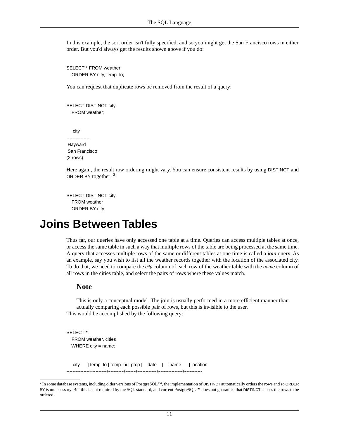In this example, the sort order isn't fully specified, and so you might get the San Francisco rows in either order. But you'd always get the results shown above if you do:

SELECT \* FROM weather ORDER BY city, temp\_lo;

You can request that duplicate rows be removed from the result of a query:

SELECT DISTINCT city FROM weather;

 city --------------- Hayward San Francisco (2 rows)

Here again, the result row ordering might vary. You can ensure consistent results by using DISTINCT and ORDER BY together: <sup>2</sup>

<span id="page-20-0"></span>SELECT DISTINCT city FROM weather ORDER BY city;

## **Joins Between Tables**

Thus far, our queries have only accessed one table at a time. Queries can access multiple tables at once, or access the same table in such a way that multiple rows of the table are being processed at the same time. A query that accesses multiple rows of the same or different tables at one time is called a *join* query. As an example, say you wish to list all the weather records together with the location of the associated city. To do that, we need to compare the *city* column of each row of the weather table with the *name* column of all rows in the cities table, and select the pairs of rows where these values match.

### **Note**

This is only a conceptual model. The join is usually performed in a more efficient manner than actually comparing each possible pair of rows, but this is invisible to the user. This would be accomplished by the following query:

SELECT \* FROM weather, cities WHERE city = name;

city | temp\_lo | temp\_hi | prcp | date | name | location

---------------+---------+---------+------+------------+---------------+-----------

 $^2$  In some database systems, including older versions of PostgreSQL™, the implementation of DISTINCT automatically orders the rows and so ORDER BY is unnecessary. But this is not required by the SQL standard, and current PostgreSQL™ does not guarantee that DISTINCT causes the rows to be ordered.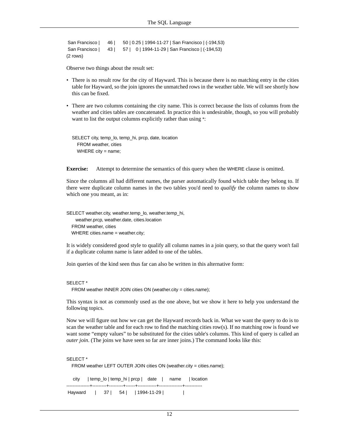```
 San Francisco | 46 | 50 | 0.25 | 1994-11-27 | San Francisco | (-194,53)
 San Francisco | 43 | 57 | 0 | 1994-11-29 | San Francisco | (-194,53)
(2 rows)
```
Observe two things about the result set:

- There is no result row for the city of Hayward. This is because there is no matching entry in the cities table for Hayward, so the join ignores the unmatched rows in the weather table. We will see shortly how this can be fixed.
- There are two columns containing the city name. This is correct because the lists of columns from the weather and cities tables are concatenated. In practice this is undesirable, though, so you will probably want to list the output columns explicitly rather than using \*:

```
SELECT city, temp_lo, temp_hi, prcp, date, location
   FROM weather, cities
  WHERE city = name;
```
**Exercise:** Attempt to determine the semantics of this query when the WHERE clause is omitted.

Since the columns all had different names, the parser automatically found which table they belong to. If there were duplicate column names in the two tables you'd need to *qualify* the column names to show which one you meant, as in:

SELECT weather.city, weather.temp\_lo, weather.temp\_hi, weather.prcp, weather.date, cities.location FROM weather, cities WHERE cities.name = weather.city;

It is widely considered good style to qualify all column names in a join query, so that the query won't fail if a duplicate column name is later added to one of the tables.

Join queries of the kind seen thus far can also be written in this alternative form:

#### SELECT \*

FROM weather INNER JOIN cities ON (weather.city = cities.name);

This syntax is not as commonly used as the one above, but we show it here to help you understand the following topics.

Now we will figure out how we can get the Hayward records back in. What we want the query to do is to scan the weather table and for each row to find the matching cities row(s). If no matching row is found we want some "empty values" to be substituted for the cities table's columns. This kind of query is called an *outer join*. (The joins we have seen so far are inner joins.) The command looks like this:

```
SELECT *
   FROM weather LEFT OUTER JOIN cities ON (weather.city = cities.name);
   city | temp_lo | temp_hi | prcp | date | name | location
---------------+---------+---------+------+------------+---------------+-----------
Hayward | 37 | 54 | 1994-11-29 |
```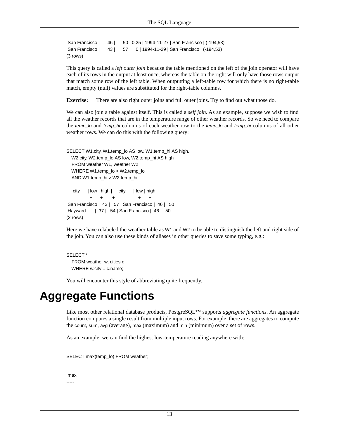```
 San Francisco | 46 | 50 | 0.25 | 1994-11-27 | San Francisco | (-194,53)
 San Francisco | 43 | 57 | 0 | 1994-11-29 | San Francisco | (-194,53)
(3 rows)
```
This query is called a *left outer join* because the table mentioned on the left of the join operator will have each of its rows in the output at least once, whereas the table on the right will only have those rows output that match some row of the left table. When outputting a left-table row for which there is no right-table match, empty (null) values are substituted for the right-table columns.

**Exercise:** There are also right outer joins and full outer joins. Try to find out what those do.

We can also join a table against itself. This is called a *self join*. As an example, suppose we wish to find all the weather records that are in the temperature range of other weather records. So we need to compare the *temp\_lo* and *temp\_hi* columns of each weather row to the *temp\_lo* and *temp\_hi* columns of all other weather rows. We can do this with the following query:

```
SELECT W1.city, W1.temp_lo AS low, W1.temp_hi AS high,
 W2.city, W2.temp_lo AS low, W2.temp_hi AS high
  FROM weather W1, weather W2
 WHERE W1.temp_lo < W2.temp_lo
 AND W1.temp_hi > W2.temp_hi;
```

```
 city | low | high | city | low | high
         ---------------+-----+------+---------------+-----+------
 San Francisco | 43 | 57 | San Francisco | 46 | 50
 Hayward | 37 | 54 | San Francisco | 46 | 50
(2 rows)
```
Here we have relabeled the weather table as W1 and W2 to be able to distinguish the left and right side of the join. You can also use these kinds of aliases in other queries to save some typing, e.g.:

```
SELECT *
   FROM weather w, cities c
  WHERE w.city = c.name;
```
You will encounter this style of abbreviating quite frequently.

## **Aggregate Functions**

Like most other relational database products, PostgreSQL™ supports *aggregate functions*. An aggregate function computes a single result from multiple input rows. For example, there are aggregates to compute the count, sum, avg (average), max (maximum) and min (minimum) over a set of rows.

As an example, we can find the highest low-temperature reading anywhere with:

```
SELECT max(temp_lo) FROM weather;
```
 max -----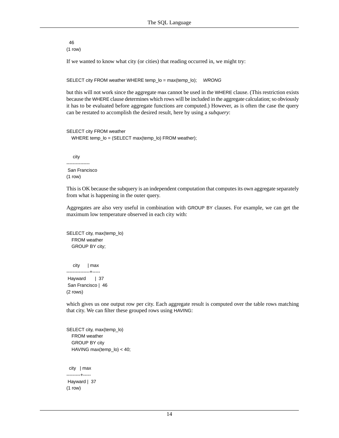46  $(1$  row)

If we wanted to know what city (or cities) that reading occurred in, we might try:

SELECT city FROM weather WHERE temp\_lo = max(temp\_lo); *WRONG*

but this will not work since the aggregate max cannot be used in the WHERE clause. (This restriction exists because the WHERE clause determines which rows will be included in the aggregate calculation; so obviously it has to be evaluated before aggregate functions are computed.) However, as is often the case the query can be restated to accomplish the desired result, here by using a *subquery*:

```
SELECT city FROM weather
 WHERE temp_lo = (SELECT max(temp_lo) FROM weather);
```
 city --------------- San Francisco  $(1$  row $)$ 

This is OK because the subquery is an independent computation that computes its own aggregate separately from what is happening in the outer query.

Aggregates are also very useful in combination with GROUP BY clauses. For example, we can get the maximum low temperature observed in each city with:

SELECT city, max(temp\_lo) FROM weather GROUP BY city;

 city | max ---------------+----- Hayward | 37 San Francisco | 46 (2 rows)

which gives us one output row per city. Each aggregate result is computed over the table rows matching that city. We can filter these grouped rows using HAVING:

SELECT city, max(temp\_lo) FROM weather GROUP BY city HAVING max(temp\_lo) < 40; city | max ---------+----- Hayward | 37  $(1$  row)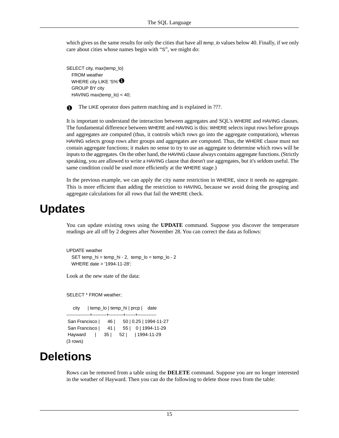which gives us the same results for only the cities that have all *temp\_lo* values below 40. Finally, if we only care about cities whose names begin with "S", we might do:

```
SELECT city, max(temp_lo)
   FROM weather
  WHERE city LIKE 'S%'<sup>O</sup>
   GROUP BY city
   HAVING max(temp_lo) < 40;
```
The LIKE operator does pattern matching and is explained in ???.

It is important to understand the interaction between aggregates and SQL's WHERE and HAVING clauses. The fundamental difference between WHERE and HAVING is this: WHERE selects input rows before groups and aggregates are computed (thus, it controls which rows go into the aggregate computation), whereas HAVING selects group rows after groups and aggregates are computed. Thus, the WHERE clause must not contain aggregate functions; it makes no sense to try to use an aggregate to determine which rows will be inputs to the aggregates. On the other hand, the HAVING clause always contains aggregate functions. (Strictly speaking, you are allowed to write a HAVING clause that doesn't use aggregates, but it's seldom useful. The same condition could be used more efficiently at the WHERE stage.)

<span id="page-24-0"></span>In the previous example, we can apply the city name restriction in WHERE, since it needs no aggregate. This is more efficient than adding the restriction to HAVING, because we avoid doing the grouping and aggregate calculations for all rows that fail the WHERE check.

## **Updates**

You can update existing rows using the **UPDATE** command. Suppose you discover the temperature readings are all off by 2 degrees after November 28. You can correct the data as follows:

```
UPDATE weather
   SET temp_hi = temp_hi - 2, temp_lo = temp_lo - 2
  WHERE date > '1994-11-28';
```
Look at the new state of the data:

SELECT \* FROM weather;

```
 city | temp_lo | temp_hi | prcp | date
         ---------------+---------+---------+------+------------
 San Francisco | 46 | 50 | 0.25 | 1994-11-27
 San Francisco | 41 | 55 | 0 | 1994-11-29
 Hayward | 35 | 52 | | 1994-11-29
(3 rows)
```
## **Deletions**

Rows can be removed from a table using the **DELETE** command. Suppose you are no longer interested in the weather of Hayward. Then you can do the following to delete those rows from the table: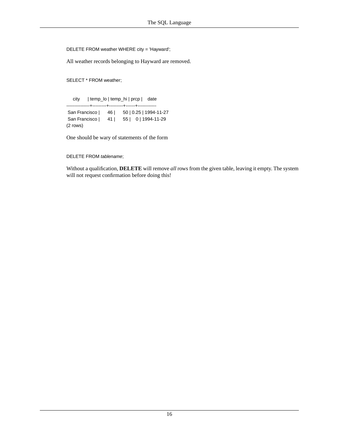DELETE FROM weather WHERE city = 'Hayward';

All weather records belonging to Hayward are removed.

SELECT \* FROM weather;

 city | temp\_lo | temp\_hi | prcp | date ---------------+---------+---------+------+------------ San Francisco | 46 | 50 | 0.25 | 1994-11-27 San Francisco | 41 | 55 | 0 | 1994-11-29 (2 rows)

One should be wary of statements of the form

DELETE FROM *tablename*;

Without a qualification, **DELETE** will remove *all* rows from the given table, leaving it empty. The system will not request confirmation before doing this!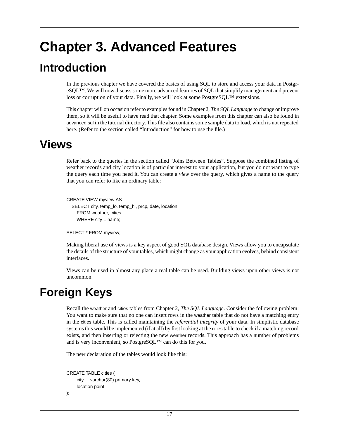# <span id="page-26-0"></span>**Chapter 3. Advanced Features**

## <span id="page-26-1"></span>**Introduction**

In the previous chapter we have covered the basics of using SQL to store and access your data in PostgreSQL™. We will now discuss some more advanced features of SQL that simplify management and prevent loss or corruption of your data. Finally, we will look at some PostgreSQL™ extensions.

<span id="page-26-2"></span>This chapter will on occasion refer to examples found in Chapter 2, *[The SQL Language](#page-16-0)* to change or improve them, so it will be useful to have read that chapter. Some examples from this chapter can also be found in advanced.sql in the tutorial directory. This file also contains some sample data to load, which is not repeated here. (Refer to [the section called "Introduction"](#page-16-1) for how to use the file.)

## **Views**

Refer back to the queries in [the section called "Joins Between Tables"](#page-20-0). Suppose the combined listing of weather records and city location is of particular interest to your application, but you do not want to type the query each time you need it. You can create a *view* over the query, which gives a name to the query that you can refer to like an ordinary table:

```
CREATE VIEW myview AS
   SELECT city, temp_lo, temp_hi, prcp, date, location
     FROM weather, cities
    WHERE city = name;
```
SELECT \* FROM myview;

<span id="page-26-3"></span>Making liberal use of views is a key aspect of good SQL database design. Views allow you to encapsulate the details of the structure of your tables, which might change as your application evolves, behind consistent interfaces.

Views can be used in almost any place a real table can be used. Building views upon other views is not uncommon.

# **Foreign Keys**

Recall the weather and cities tables from Chapter 2, *[The SQL Language](#page-16-0)*. Consider the following problem: You want to make sure that no one can insert rows in the weather table that do not have a matching entry in the cities table. This is called maintaining the *referential integrity* of your data. In simplistic database systems this would be implemented (if at all) by first looking at the cities table to check if a matching record exists, and then inserting or rejecting the new weather records. This approach has a number of problems and is very inconvenient, so PostgreSQL™ can do this for you.

The new declaration of the tables would look like this:

```
CREATE TABLE cities (
      city varchar(80) primary key,
      location point
```

```
);
```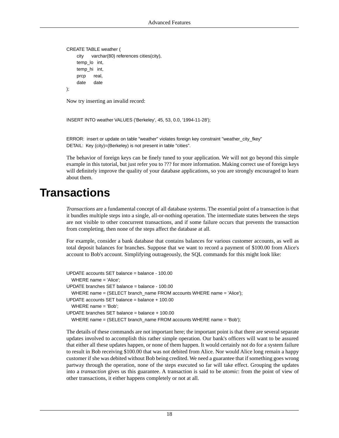```
CREATE TABLE weather (
     city varchar(80) references cities(city),
     temp_lo int,
     temp_hi int,
      prcp real,
      date date
);
```
Now try inserting an invalid record:

INSERT INTO weather VALUES ('Berkeley', 45, 53, 0.0, '1994-11-28');

ERROR: insert or update on table "weather" violates foreign key constraint "weather\_city\_fkey" DETAIL: Key (city)=(Berkeley) is not present in table "cities".

<span id="page-27-0"></span>The behavior of foreign keys can be finely tuned to your application. We will not go beyond this simple example in this tutorial, but just refer you to ??? for more information. Making correct use of foreign keys will definitely improve the quality of your database applications, so you are strongly encouraged to learn about them.

## **Transactions**

*Transactions* are a fundamental concept of all database systems. The essential point of a transaction is that it bundles multiple steps into a single, all-or-nothing operation. The intermediate states between the steps are not visible to other concurrent transactions, and if some failure occurs that prevents the transaction from completing, then none of the steps affect the database at all.

For example, consider a bank database that contains balances for various customer accounts, as well as total deposit balances for branches. Suppose that we want to record a payment of \$100.00 from Alice's account to Bob's account. Simplifying outrageously, the SQL commands for this might look like:

```
UPDATE accounts SET balance = balance - 100.00
  WHERE name = 'Alice';
UPDATE branches SET balance = balance - 100.00
  WHERE name = (SELECT branch_name FROM accounts WHERE name = 'Alice');
UPDATE accounts SET balance = balance + 100.00
  WHERE name = 'Bob';
UPDATE branches SET balance = balance + 100.00
  WHERE name = (SELECT branch_name FROM accounts WHERE name = 'Bob');
```
The details of these commands are not important here; the important point is that there are several separate updates involved to accomplish this rather simple operation. Our bank's officers will want to be assured that either all these updates happen, or none of them happen. It would certainly not do for a system failure to result in Bob receiving \$100.00 that was not debited from Alice. Nor would Alice long remain a happy customer if she was debited without Bob being credited. We need a guarantee that if something goes wrong partway through the operation, none of the steps executed so far will take effect. Grouping the updates into a *transaction* gives us this guarantee. A transaction is said to be *atomic*: from the point of view of other transactions, it either happens completely or not at all.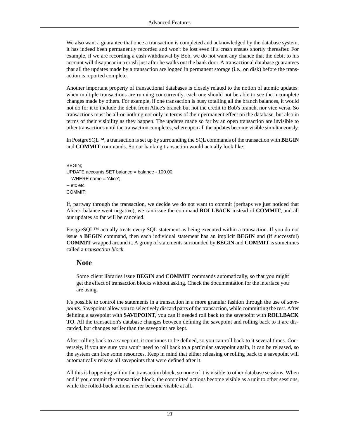We also want a guarantee that once a transaction is completed and acknowledged by the database system, it has indeed been permanently recorded and won't be lost even if a crash ensues shortly thereafter. For example, if we are recording a cash withdrawal by Bob, we do not want any chance that the debit to his account will disappear in a crash just after he walks out the bank door. A transactional database guarantees that all the updates made by a transaction are logged in permanent storage (i.e., on disk) before the transaction is reported complete.

Another important property of transactional databases is closely related to the notion of atomic updates: when multiple transactions are running concurrently, each one should not be able to see the incomplete changes made by others. For example, if one transaction is busy totalling all the branch balances, it would not do for it to include the debit from Alice's branch but not the credit to Bob's branch, nor vice versa. So transactions must be all-or-nothing not only in terms of their permanent effect on the database, but also in terms of their visibility as they happen. The updates made so far by an open transaction are invisible to other transactions until the transaction completes, whereupon all the updates become visible simultaneously.

In PostgreSQL™, a transaction is set up by surrounding the SQL commands of the transaction with **BEGIN** and **COMMIT** commands. So our banking transaction would actually look like:

```
BEGIN;
UPDATE accounts SET balance = balance - 100.00
  WHERE name = 'Alice';
-- etc etc
COMMIT;
```
If, partway through the transaction, we decide we do not want to commit (perhaps we just noticed that Alice's balance went negative), we can issue the command **ROLLBACK** instead of **COMMIT**, and all our updates so far will be canceled.

PostgreSQL™ actually treats every SQL statement as being executed within a transaction. If you do not issue a **BEGIN** command, then each individual statement has an implicit **BEGIN** and (if successful) **COMMIT** wrapped around it. A group of statements surrounded by **BEGIN** and **COMMIT** is sometimes called a *transaction block*.

### **Note**

Some client libraries issue **BEGIN** and **COMMIT** commands automatically, so that you might get the effect of transaction blocks without asking. Check the documentation for the interface you are using.

It's possible to control the statements in a transaction in a more granular fashion through the use of *savepoints*. Savepoints allow you to selectively discard parts of the transaction, while committing the rest. After defining a savepoint with **SAVEPOINT**, you can if needed roll back to the savepoint with **ROLLBACK TO**. All the transaction's database changes between defining the savepoint and rolling back to it are discarded, but changes earlier than the savepoint are kept.

After rolling back to a savepoint, it continues to be defined, so you can roll back to it several times. Conversely, if you are sure you won't need to roll back to a particular savepoint again, it can be released, so the system can free some resources. Keep in mind that either releasing or rolling back to a savepoint will automatically release all savepoints that were defined after it.

All this is happening within the transaction block, so none of it is visible to other database sessions. When and if you commit the transaction block, the committed actions become visible as a unit to other sessions, while the rolled-back actions never become visible at all.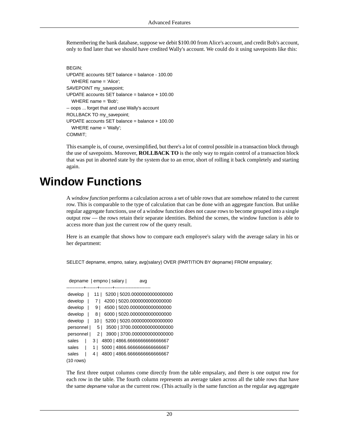Remembering the bank database, suppose we debit \$100.00 from Alice's account, and credit Bob's account, only to find later that we should have credited Wally's account. We could do it using savepoints like this:

```
BEGIN;
UPDATE accounts SET balance = balance - 100.00
  WHERE name = 'Alice';
SAVEPOINT my_savepoint;
UPDATE accounts SET balance = balance + 100.00
  WHERE name = 'Bob';
-- oops ... forget that and use Wally's account
ROLLBACK TO my_savepoint;
UPDATE accounts SET balance = balance + 100.00
  WHERE name = 'Wally';
COMMIT;
```
<span id="page-29-0"></span>This example is, of course, oversimplified, but there's a lot of control possible in a transaction block through the use of savepoints. Moreover, **ROLLBACK TO** is the only way to regain control of a transaction block that was put in aborted state by the system due to an error, short of rolling it back completely and starting again.

## **Window Functions**

A *window function* performs a calculation across a set of table rows that are somehow related to the current row. This is comparable to the type of calculation that can be done with an aggregate function. But unlike regular aggregate functions, use of a window function does not cause rows to become grouped into a single output row — the rows retain their separate identities. Behind the scenes, the window function is able to access more than just the current row of the query result.

Here is an example that shows how to compare each employee's salary with the average salary in his or her department:

SELECT depname, empno, salary, avg(salary) OVER (PARTITION BY depname) FROM empsalary;

```
depname | empno | salary | avg
-----------+-------+--------+-----------------------
develop | 11 | 5200 | 5020.0000000000000000
develop | 7 | 4200 | 5020.0000000000000000
develop | 9 | 4500 | 5020.0000000000000000
develop | 8 | 6000 | 5020.00000000000000000
 develop | 10 | 5200 | 5020.0000000000000000
 personnel | 5 | 3500 | 3700.0000000000000000
 personnel | 2 | 3900 | 3700.0000000000000000
sales | 3 | 4800 | 4866.6666666666666667
sales | 1 | 5000 | 4866.6666666666666667
sales | 4 | 4800 | 4866.6666666666666667
(10 rows)
```
The first three output columns come directly from the table empsalary, and there is one output row for each row in the table. The fourth column represents an average taken across all the table rows that have the same *depname* value as the current row. (This actually is the same function as the regular avg aggregate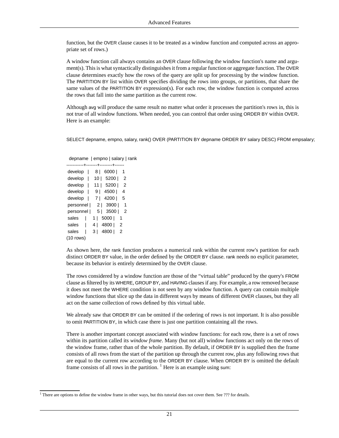function, but the OVER clause causes it to be treated as a window function and computed across an appropriate set of rows.)

A window function call always contains an OVER clause following the window function's name and argument(s). This is what syntactically distinguishes it from a regular function or aggregate function. The OVER clause determines exactly how the rows of the query are split up for processing by the window function. The PARTITION BY list within OVER specifies dividing the rows into groups, or partitions, that share the same values of the PARTITION BY expression(s). For each row, the window function is computed across the rows that fall into the same partition as the current row.

Although avg will produce the same result no matter what order it processes the partition's rows in, this is not true of all window functions. When needed, you can control that order using ORDER BY within OVER. Here is an example:

SELECT depname, empno, salary, rank() OVER (PARTITION BY depname ORDER BY salary DESC) FROM empsalary;

|             | . - - - - - - - - - - - - - - - - - -       |
|-------------|---------------------------------------------|
| develop     | 6000<br>81<br>1                             |
| develop     | 5200 l<br>10 I<br>2                         |
| develop     | 5200 l<br>2<br>11 I                         |
| develop     | 4500<br>9 I<br>4                            |
| develop     | 4200  <br>5<br>7 I                          |
| personnel   | 2   3900  <br>1                             |
| personnel   | 3500 l<br>5  <br>2                          |
| sales       | 5000<br>1  <br>1                            |
| sales       | 4800  <br>4  <br>$\overline{\phantom{0}}^2$ |
| sales       | 4800  <br>$\overline{2}$<br>3 <sub>1</sub>  |
| $(10$ rows) |                                             |

depname | empno | salary | rank

As shown here, the rank function produces a numerical rank within the current row's partition for each distinct ORDER BY value, in the order defined by the ORDER BY clause. rank needs no explicit parameter, because its behavior is entirely determined by the OVER clause.

The rows considered by a window function are those of the "virtual table" produced by the query's FROM clause as filtered by its WHERE, GROUP BY, and HAVING clauses if any. For example, a row removed because it does not meet the WHERE condition is not seen by any window function. A query can contain multiple window functions that slice up the data in different ways by means of different OVER clauses, but they all act on the same collection of rows defined by this virtual table.

We already saw that ORDER BY can be omitted if the ordering of rows is not important. It is also possible to omit PARTITION BY, in which case there is just one partition containing all the rows.

There is another important concept associated with window functions: for each row, there is a set of rows within its partition called its *window frame*. Many (but not all) window functions act only on the rows of the window frame, rather than of the whole partition. By default, if ORDER BY is supplied then the frame consists of all rows from the start of the partition up through the current row, plus any following rows that are equal to the current row according to the ORDER BY clause. When ORDER BY is omitted the default frame consists of all rows in the partition.  $<sup>1</sup>$  Here is an example using sum:</sup>

<sup>&</sup>lt;sup>1</sup> There are options to define the window frame in other ways, but this tutorial does not cover them. See ??? for details.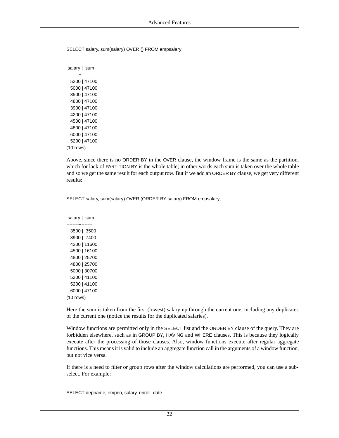SELECT salary, sum(salary) OVER () FROM empsalary;

 salary | sum --------+------- 5200 | 47100 5000 | 47100 3500 | 47100 4800 | 47100 3900 | 47100 4200 | 47100 4500 | 47100 4800 | 47100 6000 | 47100 5200 | 47100 (10 rows)

Above, since there is no ORDER BY in the OVER clause, the window frame is the same as the partition, which for lack of PARTITION BY is the whole table; in other words each sum is taken over the whole table and so we get the same result for each output row. But if we add an ORDER BY clause, we get very different results:

SELECT salary, sum(salary) OVER (ORDER BY salary) FROM empsalary;

 salary | sum --------+------- 3500 | 3500 3900 | 7400 4200 | 11600 4500 | 16100 4800 | 25700 4800 | 25700 5000 | 30700 5200 | 41100 5200 | 41100 6000 | 47100 (10 rows)

Here the sum is taken from the first (lowest) salary up through the current one, including any duplicates of the current one (notice the results for the duplicated salaries).

Window functions are permitted only in the SELECT list and the ORDER BY clause of the query. They are forbidden elsewhere, such as in GROUP BY, HAVING and WHERE clauses. This is because they logically execute after the processing of those clauses. Also, window functions execute after regular aggregate functions. This means it is valid to include an aggregate function call in the arguments of a window function, but not vice versa.

If there is a need to filter or group rows after the window calculations are performed, you can use a subselect. For example:

SELECT depname, empno, salary, enroll\_date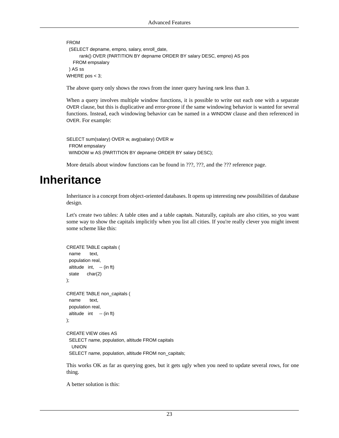```
FROM
  (SELECT depname, empno, salary, enroll_date,
      rank() OVER (PARTITION BY depname ORDER BY salary DESC, empno) AS pos
   FROM empsalary
 ) AS ss
WHERE pos < 3;
```
The above query only shows the rows from the inner query having rank less than 3.

When a query involves multiple window functions, it is possible to write out each one with a separate OVER clause, but this is duplicative and error-prone if the same windowing behavior is wanted for several functions. Instead, each windowing behavior can be named in a WINDOW clause and then referenced in OVER. For example:

```
SELECT sum(salary) OVER w, avg(salary) OVER w
 FROM empsalary
WINDOW w AS (PARTITION BY depname ORDER BY salary DESC);
```
<span id="page-32-0"></span>More details about window functions can be found in ???, ???, and the ??? reference page.

## **Inheritance**

Inheritance is a concept from object-oriented databases. It opens up interesting new possibilities of database design.

Let's create two tables: A table cities and a table capitals. Naturally, capitals are also cities, so you want some way to show the capitals implicitly when you list all cities. If you're really clever you might invent some scheme like this:

```
CREATE TABLE capitals (
  name text,
  population real,
  altitude int, -- (in ft)
  state char(2)
);
CREATE TABLE non_capitals (
  name text,
  population real,
  altitude int -- (in ft)
);
CREATE VIEW cities AS
  SELECT name, population, altitude FROM capitals
   UNION
  SELECT name, population, altitude FROM non_capitals;
```
This works OK as far as querying goes, but it gets ugly when you need to update several rows, for one thing.

A better solution is this: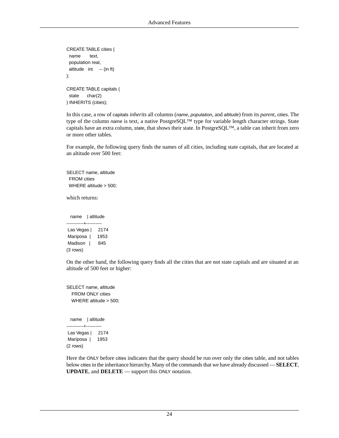```
CREATE TABLE cities (
  name text,
  population real,
 altitude int -- (in ft)
);
CREATE TABLE capitals (
  state char(2)
) INHERITS (cities);
```
In this case, a row of capitals *inherits* all columns (*name*, *population*, and *altitude*) from its *parent*, cities. The type of the column *name* is text, a native PostgreSQL™ type for variable length character strings. State capitals have an extra column, *state*, that shows their state. In PostgreSQL™, a table can inherit from zero or more other tables.

For example, the following query finds the names of all cities, including state capitals, that are located at an altitude over 500 feet:

```
SELECT name, altitude
 FROM cities
WHERE altitude > 500;
```
which returns:

name | altitude -----------+---------- Las Vegas | 2174 Mariposa | 1953 Madison | 845 (3 rows)

On the other hand, the following query finds all the cities that are not state capitals and are situated at an altitude of 500 feet or higher:

SELECT name, altitude FROM ONLY cities WHERE altitude > 500;

name | altitude -----------+---------- Las Vegas | 2174 Mariposa | 1953 (2 rows)

Here the ONLY before cities indicates that the query should be run over only the cities table, and not tables below cities in the inheritance hierarchy. Many of the commands that we have already discussed — **SELECT**, **UPDATE**, and **DELETE** — support this ONLY notation.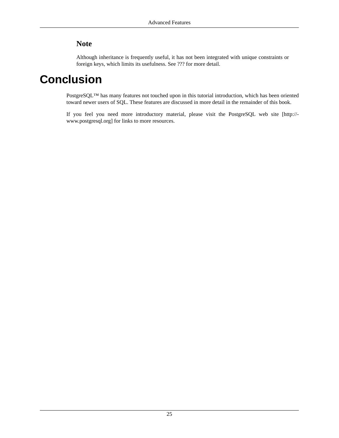## **Note**

<span id="page-34-0"></span>Although inheritance is frequently useful, it has not been integrated with unique constraints or foreign keys, which limits its usefulness. See ??? for more detail.

## **Conclusion**

PostgreSQL™ has many features not touched upon in this tutorial introduction, which has been oriented toward newer users of SQL. These features are discussed in more detail in the remainder of this book.

If you feel you need more introductory material, please visit the PostgreSQL [web site](http://www.postgresql.org) [[http://](http://www.postgresql.org) [www.postgresql.org](http://www.postgresql.org)] for links to more resources.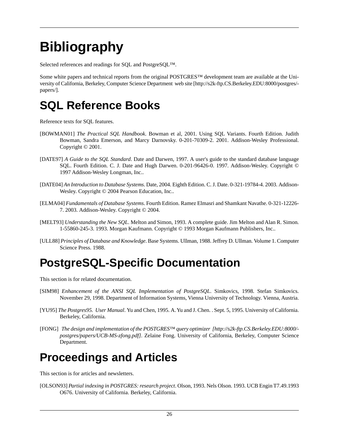# <span id="page-35-0"></span>**Bibliography**

Selected references and readings for SQL and PostgreSQL™.

Some white papers and technical reports from the original POSTGRES™ development team are available at the University of California, Berkeley, Computer Science Department [web site](http://s2k-ftp.CS.Berkeley.EDU:8000/postgres/papers/) [\[http://s2k-ftp.CS.Berkeley.EDU:8000/postgres/](http://s2k-ftp.CS.Berkeley.EDU:8000/postgres/papers/) [papers/\]](http://s2k-ftp.CS.Berkeley.EDU:8000/postgres/papers/).

## **SQL Reference Books**

Reference texts for SQL features.

- <span id="page-35-2"></span>[BOWMAN01] *The Practical SQL Handbook*. Bowman et al, 2001. Using SQL Variants. Fourth Edition. Judith Bowman, Sandra Emerson, and Marcy Darnovsky. 0-201-70309-2. 2001. Addison-Wesley Professional. Copyright © 2001.
- [DATE97] *A Guide to the SQL Standard*. Date and Darwen, 1997. A user's guide to the standard database language SQL. Fourth Edition. C. J. Date and Hugh Darwen. 0-201-96426-0. 1997. Addison-Wesley. Copyright © 1997 Addison-Wesley Longman, Inc..
- [DATE04] *An Introduction to Database Systems*. Date, 2004. Eighth Edition. C. J. Date. 0-321-19784-4. 2003. Addison-Wesley. Copyright © 2004 Pearson Education, Inc..
- <span id="page-35-1"></span>[ELMA04] *Fundamentals of Database Systems*. Fourth Edition. Ramez Elmasri and Shamkant Navathe. 0-321-12226- 7. 2003. Addison-Wesley. Copyright © 2004.
- [MELT93] *Understanding the New SQL*. Melton and Simon, 1993. A complete guide. Jim Melton and Alan R. Simon. 1-55860-245-3. 1993. Morgan Kaufmann. Copyright © 1993 Morgan Kaufmann Publishers, Inc..
- [ULL88] *Principles of Database and Knowledge*. Base Systems. Ullman, 1988. Jeffrey D. Ullman. Volume 1. Computer Science Press. 1988.

# **PostgreSQL-Specific Documentation**

This section is for related documentation.

- [SIM98] *Enhancement of the ANSI SQL Implementation of PostgreSQL*. Simkovics, 1998. Stefan Simkovics. November 29, 1998. Department of Information Systems, Vienna University of Technology. Vienna, Austria.
- [YU95] *The Postgres95. User Manual*. Yu and Chen, 1995. A. Yu and J. Chen. . Sept. 5, 1995. University of California. Berkeley, California.
- [FONG] *[The design and implementation of the POSTGRES](http://s2k-ftp.CS.Berkeley.EDU:8000/postgres/papers/UCB-MS-zfong.pdf)™ query optimizer [[http://s2k-ftp.CS.Berkeley.EDU:8000/](http://s2k-ftp.CS.Berkeley.EDU:8000/postgres/papers/UCB-MS-zfong.pdf) [postgres/papers/UCB-MS-zfong.pdf\]](http://s2k-ftp.CS.Berkeley.EDU:8000/postgres/papers/UCB-MS-zfong.pdf)*. Zelaine Fong. University of California, Berkeley, Computer Science Department.

## **Proceedings and Articles**

This section is for articles and newsletters.

[OLSON93] *Partial indexing in POSTGRES: research project*. Olson, 1993. Nels Olson. 1993. UCB Engin T7.49.1993 O676. University of California. Berkeley, California.